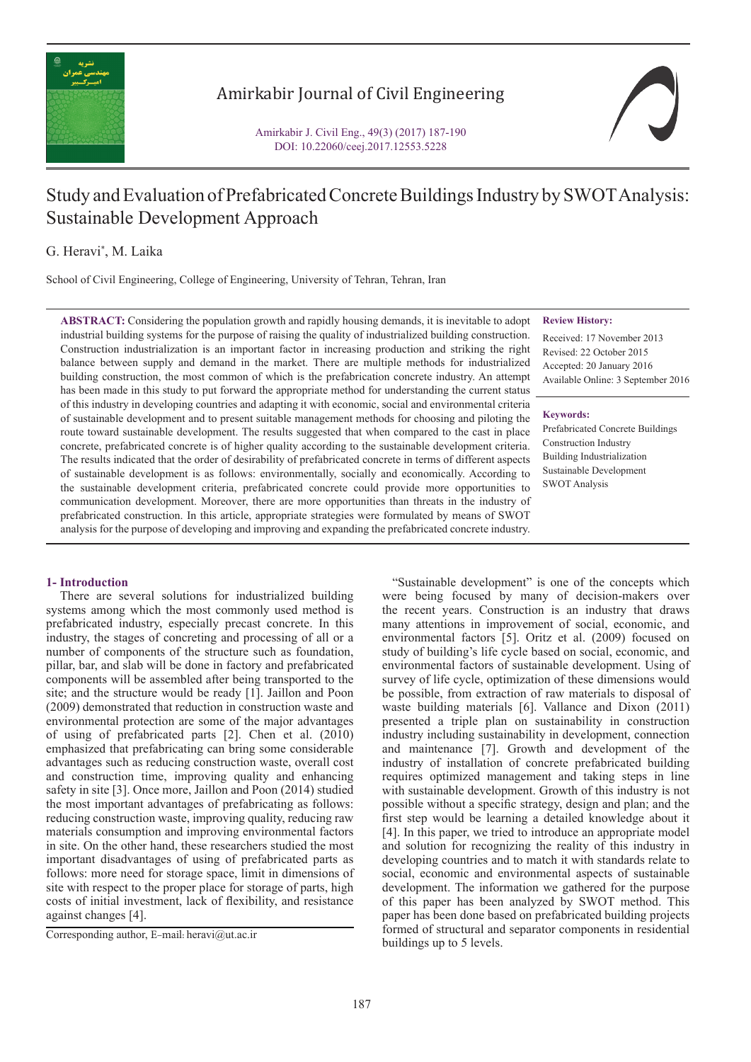

## Amirkabir Journal of Civil Engineering

Amirkabir J. Civil Eng., 49(3) (2017) 187-190 DOI: 10.22060/ceej.2017.12553.5228

# Study and Evaluation of Prefabricated Concrete Buildings Industry by SWOT Analysis: Sustainable Development Approach

G. Heravi\* , M. Laika

School of Civil Engineering, College of Engineering, University of Tehran, Tehran, Iran

**ABSTRACT:** Considering the population growth and rapidly housing demands, it is inevitable to adopt industrial building systems for the purpose of raising the quality of industrialized building construction. Construction industrialization is an important factor in increasing production and striking the right balance between supply and demand in the market. There are multiple methods for industrialized building construction, the most common of which is the prefabrication concrete industry. An attempt has been made in this study to put forward the appropriate method for understanding the current status of this industry in developing countries and adapting it with economic, social and environmental criteria of sustainable development and to present suitable management methods for choosing and piloting the route toward sustainable development. The results suggested that when compared to the cast in place concrete, prefabricated concrete is of higher quality according to the sustainable development criteria. The results indicated that the order of desirability of prefabricated concrete in terms of different aspects of sustainable development is as follows: environmentally, socially and economically. According to the sustainable development criteria, prefabricated concrete could provide more opportunities to communication development. Moreover, there are more opportunities than threats in the industry of prefabricated construction. In this article, appropriate strategies were formulated by means of SWOT analysis for the purpose of developing and improving and expanding the prefabricated concrete industry.

#### **Review History:**

Received: 17 November 2013 Revised: 22 October 2015 Accepted: 20 January 2016 Available Online: 3 September 2016

#### **Keywords:**

Prefabricated Concrete Buildings Construction Industry Building Industrialization Sustainable Development SWOT Analysis

### **1- Introduction**

 There are several solutions for industrialized building systems among which the most commonly used method is prefabricated industry, especially precast concrete. In this industry, the stages of concreting and processing of all or a number of components of the structure such as foundation, pillar, bar, and slab will be done in factory and prefabricated components will be assembled after being transported to the site; and the structure would be ready [1]. Jaillon and Poon (2009) demonstrated that reduction in construction waste and environmental protection are some of the major advantages of using of prefabricated parts [2]. Chen et al. (2010) emphasized that prefabricating can bring some considerable advantages such as reducing construction waste, overall cost and construction time, improving quality and enhancing safety in site [3]. Once more, Jaillon and Poon (2014) studied the most important advantages of prefabricating as follows: reducing construction waste, improving quality, reducing raw materials consumption and improving environmental factors in site. On the other hand, these researchers studied the most important disadvantages of using of prefabricated parts as follows: more need for storage space, limit in dimensions of site with respect to the proper place for storage of parts, high costs of initial investment, lack of flexibility, and resistance against changes [4].

 "Sustainable development" is one of the concepts which were being focused by many of decision-makers over the recent years. Construction is an industry that draws many attentions in improvement of social, economic, and environmental factors [5]. Oritz et al. (2009) focused on study of building's life cycle based on social, economic, and environmental factors of sustainable development. Using of survey of life cycle, optimization of these dimensions would be possible, from extraction of raw materials to disposal of waste building materials [6]. Vallance and Dixon (2011) presented a triple plan on sustainability in construction industry including sustainability in development, connection and maintenance [7]. Growth and development of the industry of installation of concrete prefabricated building requires optimized management and taking steps in line with sustainable development. Growth of this industry is not possible without a specific strategy, design and plan; and the first step would be learning a detailed knowledge about it [4]. In this paper, we tried to introduce an appropriate model and solution for recognizing the reality of this industry in developing countries and to match it with standards relate to social, economic and environmental aspects of sustainable development. The information we gathered for the purpose of this paper has been analyzed by SWOT method. This paper has been done based on prefabricated building projects formed of structural and separator components in residential

Corresponding author, E-mail: heravi@ut.ac.ir<br>buildings up to 5 levels.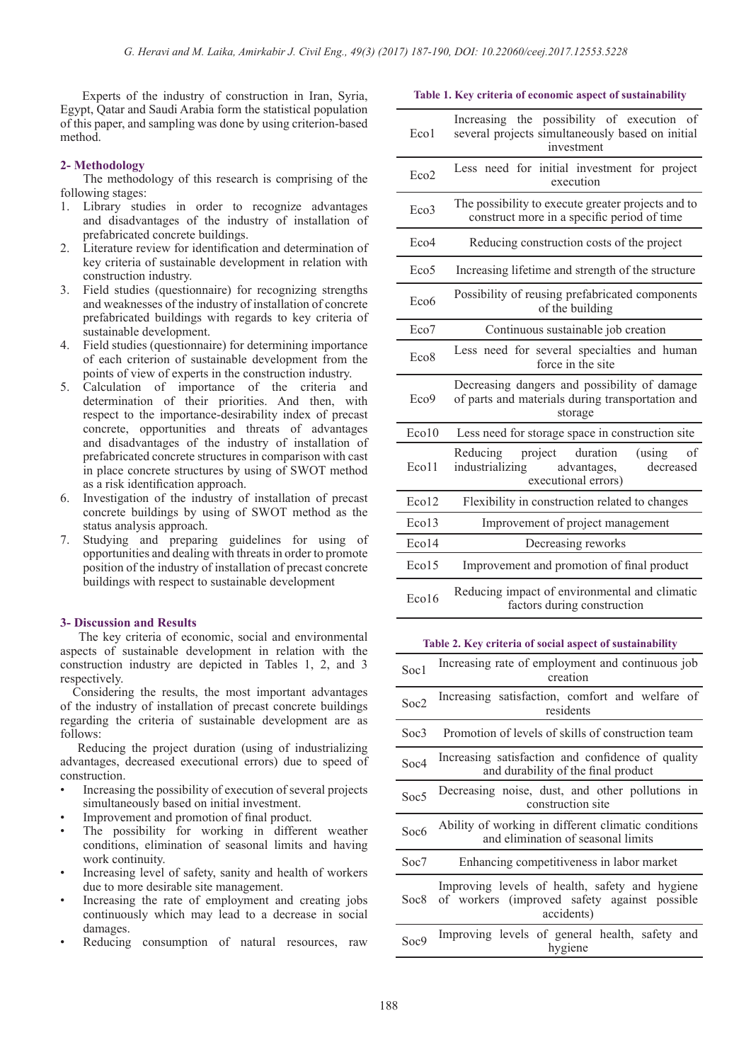Experts of the industry of construction in Iran, Syria, Egypt, Qatar and Saudi Arabia form the statistical population of this paper, and sampling was done by using criterion-based method.

#### **2- Methodology**

 The methodology of this research is comprising of the following stages:

- 1. Library studies in order to recognize advantages and disadvantages of the industry of installation of prefabricated concrete buildings.
- 2. Literature review for identification and determination of key criteria of sustainable development in relation with construction industry.
- 3. Field studies (questionnaire) for recognizing strengths and weaknesses of the industry of installation of concrete prefabricated buildings with regards to key criteria of sustainable development.
- 4. Field studies (questionnaire) for determining importance of each criterion of sustainable development from the points of view of experts in the construction industry.
- 5. Calculation of importance of the criteria and determination of their priorities. And then, with respect to the importance-desirability index of precast concrete, opportunities and threats of advantages and disadvantages of the industry of installation of prefabricated concrete structures in comparison with cast in place concrete structures by using of SWOT method as a risk identification approach.
- 6. Investigation of the industry of installation of precast concrete buildings by using of SWOT method as the status analysis approach.
- 7. Studying and preparing guidelines for using of opportunities and dealing with threats in order to promote position of the industry of installation of precast concrete buildings with respect to sustainable development

#### **3- Discussion and Results**

 The key criteria of economic, social and environmental aspects of sustainable development in relation with the construction industry are depicted in Tables 1, 2, and 3 respectively.

 Considering the results, the most important advantages of the industry of installation of precast concrete buildings regarding the criteria of sustainable development are as follows:

 Reducing the project duration (using of industrializing advantages, decreased executional errors) due to speed of construction.

- Increasing the possibility of execution of several projects simultaneously based on initial investment.
- Improvement and promotion of final product.
- The possibility for working in different weather conditions, elimination of seasonal limits and having work continuity.
- Increasing level of safety, sanity and health of workers due to more desirable site management.
- Increasing the rate of employment and creating jobs continuously which may lead to a decrease in social damages.
- Reducing consumption of natural resources, raw

**Table 1. Key criteria of economic aspect of sustainability**

| Eco1             | Increasing the possibility of execution of<br>several projects simultaneously based on initial<br>investment           |
|------------------|------------------------------------------------------------------------------------------------------------------------|
| Eco2             | Less need for initial investment for project<br>execution                                                              |
| Eco <sub>3</sub> | The possibility to execute greater projects and to<br>construct more in a specific period of time                      |
| Eco <sub>4</sub> | Reducing construction costs of the project                                                                             |
| Eco <sub>5</sub> | Increasing lifetime and strength of the structure                                                                      |
| Eco <sub>6</sub> | Possibility of reusing prefabricated components<br>of the building                                                     |
| Eco <sub>7</sub> | Continuous sustainable job creation                                                                                    |
| Eco <sub>8</sub> | Less need for several specialties and human<br>force in the site                                                       |
| Eco9             | Decreasing dangers and possibility of damage<br>of parts and materials during transportation and<br>storage            |
| Eco10            | Less need for storage space in construction site                                                                       |
| Eco11            | duration<br>Reducing<br>project<br>(using)<br>of<br>industrializing<br>decreased<br>advantages,<br>executional errors) |
| Eco12            | Flexibility in construction related to changes                                                                         |
| Eco13            | Improvement of project management                                                                                      |
| Eco14            | Decreasing reworks                                                                                                     |
| Eco15            | Improvement and promotion of final product                                                                             |
| Eco16            | Reducing impact of environmental and climatic<br>factors during construction                                           |

#### **Table 2. Key criteria of social aspect of sustainability**

| Soc1             | Increasing rate of employment and continuous job<br>creation                                                 |
|------------------|--------------------------------------------------------------------------------------------------------------|
| Soc2             | Increasing satisfaction, comfort and welfare of<br>residents                                                 |
| Soc3             | Promotion of levels of skills of construction team                                                           |
| Soc4             | Increasing satisfaction and confidence of quality<br>and durability of the final product                     |
| Soc <sub>5</sub> | Decreasing noise, dust, and other pollutions in<br>construction site                                         |
| Soc6             | Ability of working in different climatic conditions<br>and elimination of seasonal limits                    |
| Soc7             | Enhancing competitiveness in labor market                                                                    |
| Soc8             | Improving levels of health, safety and hygiene<br>of workers (improved safety against possible<br>accidents) |
| Soc <sub>9</sub> | Improving levels of general health, safety and<br>hygiene                                                    |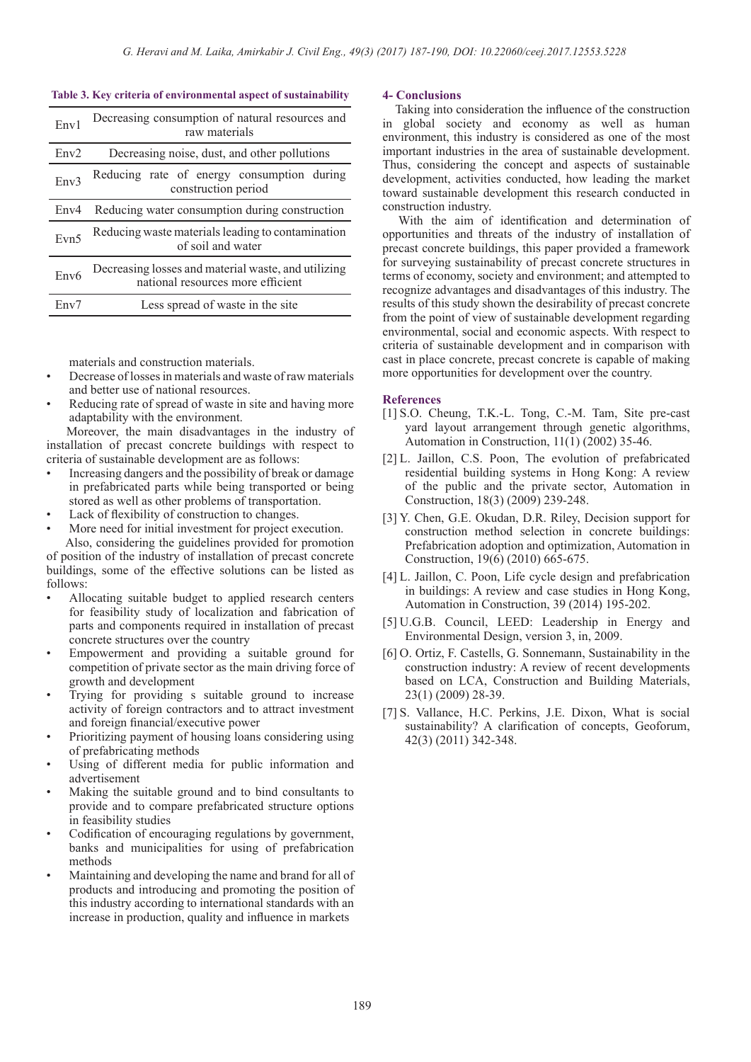#### **Table 3. Key criteria of environmental aspect of sustainability**

| Env1             | Decreasing consumption of natural resources and<br>raw materials                         |
|------------------|------------------------------------------------------------------------------------------|
| Env2             | Decreasing noise, dust, and other pollutions                                             |
| Env3             | Reducing rate of energy consumption during<br>construction period                        |
| Env4             | Reducing water consumption during construction                                           |
| Evn <sub>5</sub> | Reducing waste materials leading to contamination<br>of soil and water                   |
| Env <sub>6</sub> | Decreasing losses and material waste, and utilizing<br>national resources more efficient |
| Env7             | Less spread of waste in the site                                                         |

materials and construction materials.

- Decrease of losses in materials and waste of raw materials and better use of national resources.
- Reducing rate of spread of waste in site and having more adaptability with the environment.

 Moreover, the main disadvantages in the industry of installation of precast concrete buildings with respect to criteria of sustainable development are as follows:

- Increasing dangers and the possibility of break or damage in prefabricated parts while being transported or being stored as well as other problems of transportation.
- Lack of flexibility of construction to changes.
- More need for initial investment for project execution. Also, considering the guidelines provided for promotion

of position of the industry of installation of precast concrete buildings, some of the effective solutions can be listed as follows:

- Allocating suitable budget to applied research centers for feasibility study of localization and fabrication of parts and components required in installation of precast concrete structures over the country
- Empowerment and providing a suitable ground for competition of private sector as the main driving force of growth and development
- Trying for providing s suitable ground to increase activity of foreign contractors and to attract investment and foreign financial/executive power
- Prioritizing payment of housing loans considering using of prefabricating methods
- Using of different media for public information and advertisement
- Making the suitable ground and to bind consultants to provide and to compare prefabricated structure options in feasibility studies
- Codification of encouraging regulations by government, banks and municipalities for using of prefabrication methods
- Maintaining and developing the name and brand for all of products and introducing and promoting the position of this industry according to international standards with an increase in production, quality and influence in markets

#### **4- Conclusions**

 Taking into consideration the influence of the construction in global society and economy as well as human environment, this industry is considered as one of the most important industries in the area of sustainable development. Thus, considering the concept and aspects of sustainable development, activities conducted, how leading the market toward sustainable development this research conducted in construction industry.

 With the aim of identification and determination of opportunities and threats of the industry of installation of precast concrete buildings, this paper provided a framework for surveying sustainability of precast concrete structures in terms of economy, society and environment; and attempted to recognize advantages and disadvantages of this industry. The results of this study shown the desirability of precast concrete from the point of view of sustainable development regarding environmental, social and economic aspects. With respect to criteria of sustainable development and in comparison with cast in place concrete, precast concrete is capable of making more opportunities for development over the country.

#### **References**

- [1] S.O. Cheung, T.K.-L. Tong, C.-M. Tam, Site pre-cast yard layout arrangement through genetic algorithms, Automation in Construction, 11(1) (2002) 35-46.
- [2] L. Jaillon, C.S. Poon, The evolution of prefabricated residential building systems in Hong Kong: A review of the public and the private sector, Automation in Construction, 18(3) (2009) 239-248.
- [3] Y. Chen, G.E. Okudan, D.R. Riley, Decision support for construction method selection in concrete buildings: Prefabrication adoption and optimization, Automation in Construction, 19(6) (2010) 665-675.
- [4] L. Jaillon, C. Poon, Life cycle design and prefabrication in buildings: A review and case studies in Hong Kong, Automation in Construction, 39 (2014) 195-202.
- [5] U.G.B. Council, LEED: Leadership in Energy and Environmental Design, version 3, in, 2009.
- [6] O. Ortiz, F. Castells, G. Sonnemann, Sustainability in the construction industry: A review of recent developments based on LCA, Construction and Building Materials, 23(1) (2009) 28-39.
- [7] S. Vallance, H.C. Perkins, J.E. Dixon, What is social sustainability? A clarification of concepts, Geoforum, 42(3) (2011) 342-348.